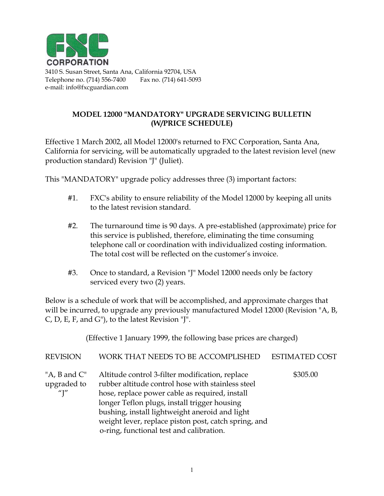

**CORPORATION**<br>3410 S. Susan Street, Santa Ana, California 92704, USA Telephone no. (714) 556-7400 Fax no. (714) 641-5093 e-mail: info@fxcguardian.com

## **MODEL 12000 "MANDATORY" UPGRADE SERVICING BULLETIN (W/PRICE SCHEDULE)**

Effective 1 March 2002, all Model 12000's returned to FXC Corporation, Santa Ana, California for servicing, will be automatically upgraded to the latest revision level (new production standard) Revision "J" (Juliet).

This "MANDATORY" upgrade policy addresses three (3) important factors:

- #1. FXC's ability to ensure reliability of the Model 12000 by keeping all units to the latest revision standard.
- #2. The turnaround time is 90 days. A pre-established (approximate) price for this service is published, therefore, eliminating the time consuming telephone call or coordination with individualized costing information. The total cost will be reflected on the customer's invoice.
- #3. Once to standard, a Revision "J" Model 12000 needs only be factory serviced every two (2) years.

Below is a schedule of work that will be accomplished, and approximate charges that will be incurred, to upgrade any previously manufactured Model 12000 (Revision "A, B, C, D, E, F, and G"), to the latest Revision "J".

(Effective 1 January 1999, the following base prices are charged) REVISION WORK THAT NEEDS TO BE ACCOMPLISHED ESTIMATED COST "A, B and C" Altitude control 3-filter modification, replace \$305.00 upgraded to rubber altitude control hose with stainless steel "J" hose, replace power cable as required, install

longer Teflon plugs, install trigger housing bushing, install lightweight aneroid and light weight lever, replace piston post, catch spring, and o-ring, functional test and calibration.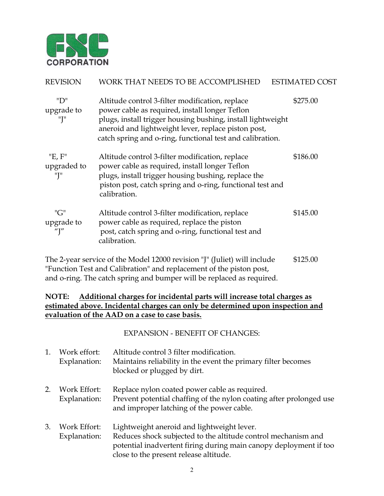

| <b>REVISION</b>              | WORK THAT NEEDS TO BE ACCOMPLISHED                                                                                                                                                                                                                                                   | <b>ESTIMATED COST</b> |
|------------------------------|--------------------------------------------------------------------------------------------------------------------------------------------------------------------------------------------------------------------------------------------------------------------------------------|-----------------------|
| "D"<br>upgrade to<br>"T"     | Altitude control 3-filter modification, replace<br>power cable as required, install longer Teflon<br>plugs, install trigger housing bushing, install lightweight<br>aneroid and lightweight lever, replace piston post,<br>catch spring and o-ring, functional test and calibration. | \$275.00              |
| "E, F"<br>upgraded to<br>"J" | Altitude control 3-filter modification, replace<br>power cable as required, install longer Teflon<br>plugs, install trigger housing bushing, replace the<br>piston post, catch spring and o-ring, functional test and<br>calibration.                                                | \$186.00              |
| "G"<br>upgrade to<br>"]"     | Altitude control 3-filter modification, replace<br>power cable as required, replace the piston<br>post, catch spring and o-ring, functional test and<br>calibration.                                                                                                                 | \$145.00              |
|                              | The 2-year service of the Model 12000 revision "J" (Juliet) will include                                                                                                                                                                                                             | \$125.00              |

"Function Test and Calibration" and replacement of the piston post, and o-ring. The catch spring and bumper will be replaced as required.

## **NOTE: Additional charges for incidental parts will increase total charges as estimated above. Incidental charges can only be determined upon inspection and evaluation of the AAD on a case to case basis.**

EXPANSION - BENEFIT OF CHANGES:

1. Work effort: Altitude control 3 filter modification. Explanation: Maintains reliability in the event the primary filter becomes blocked or plugged by dirt. 2. Work Effort: Replace nylon coated power cable as required. Explanation: Prevent potential chaffing of the nylon coating after prolonged use and improper latching of the power cable. 3. Work Effort: Lightweight aneroid and lightweight lever. Explanation: Reduces shock subjected to the altitude control mechanism and potential inadvertent firing during main canopy deployment if too close to the present release altitude.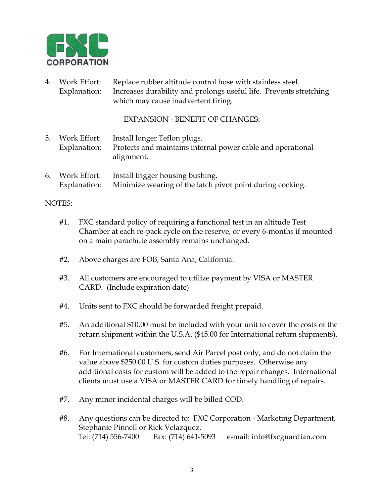

4. Work Effort: Replace rubber altitude control hose with stainless steel. Explanation: Increases durability and prolongs useful life. Prevents stretching which may cause inadvertent firing.

EXPANSION - BENEFIT OF CHANGES:

- 5. Work Effort: Install longer Teflon plugs. Explanation: Protects and maintains internal power cable and operational alignment.
- 6. Work Effort: Install trigger housing bushing. Explanation: Minimize wearing of the latch pivot point during cocking.

## NOTES:

- #1. FXC standard policy of requiring a functional test in an altitude Test Chamber at each re-pack cycle on the reserve, or every 6-months if mounted on a main parachute assembly remains unchanged.
- #2. Above charges are FOB, Santa Ana, California.
- #3. All customers are encouraged to utilize payment by VISA or MASTER CARD. (Include expiration date)
- #4. Units sent to FXC should be forwarded freight prepaid.
- #5. An additional \$10.00 must be included with your unit to cover the costs of the return shipment within the U.S.A. (\$45.00 for International return shipments).
- #6. For International customers, send Air Parcel post only, and do not claim the value above \$250.00 U.S. for custom duties purposes. Otherwise any additional costs for custom will be added to the repair changes. International clients must use a VISA or MASTER CARD for timely handling of repairs.
- #7. Any minor incidental charges will be billed COD.
- #8. Any questions can be directed to: FXC Corporation Marketing Department, Stephanie Pinnell or Rick Velazquez. Tel: (714) 556-7400 Fax: (714) 641-5093 e-mail: info@fxcguardian.com